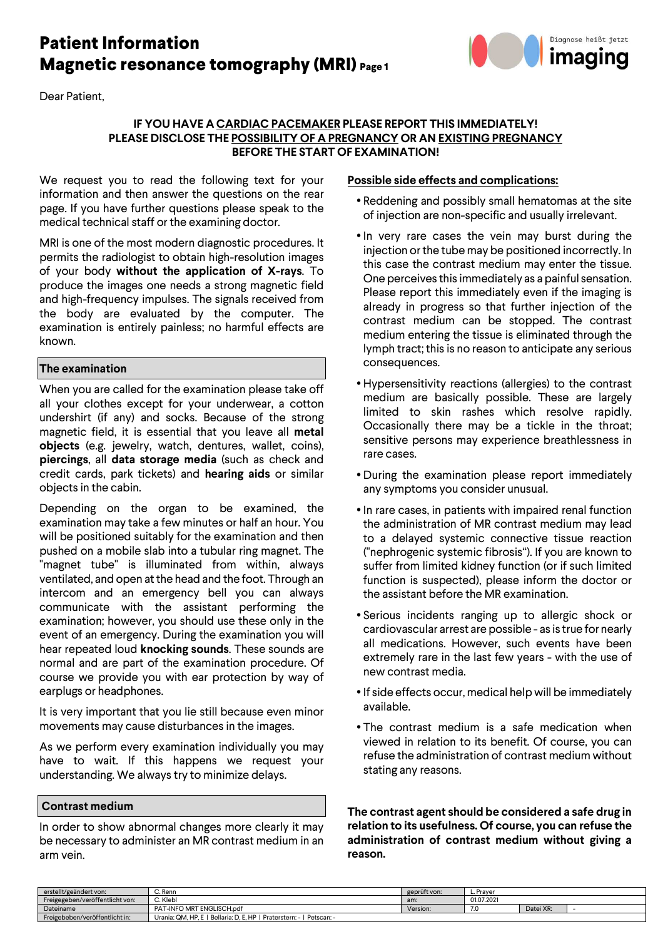# **Patient Information Magnetic resonance tomography (MRI) Page 1**

Dear Patient,



### **IF YOU HAVE A CARDIAC PACEMAKER PLEASE REPORT THIS IMMEDIATELY! PLEASE DISCLOSE THE POSSIBILITY OF A PREGNANCY OR AN EXISTING PREGNANCY BEFORE THE START OF EXAMINATION!**

We request you to read the following text for your information and then answer the questions on the rear page. If you have further questions please speak to the medical technical staff or the examining doctor.

MRI is one of the most modern diagnostic procedures. It permits the radiologist to obtain high-resolution images of your body **without the application of X-rays**. To produce the images one needs a strong magnetic field and high-frequency impulses. The signals received from the body are evaluated by the computer. The examination is entirely painless; no harmful effects are known.

#### **The examination**

When you are called for the examination please take off all your clothes except for your underwear, a cotton undershirt (if any) and socks. Because of the strong magnetic field, it is essential that you leave all **metal objects** (e.g. jewelry, watch, dentures, wallet, coins), **piercings**, all **data storage media** (such as check and credit cards, park tickets) and **hearing aids** or similar objects in the cabin.

Depending on the organ to be examined, the examination may take a few minutes or half an hour. You will be positioned suitably for the examination and then pushed on a mobile slab into a tubular ring magnet. The "magnet tube" is illuminated from within, always ventilated, and open at the head and the foot. Through an intercom and an emergency bell you can always communicate with the assistant performing the examination; however, you should use these only in the event of an emergency. During the examination you will hear repeated loud **knocking sounds**. These sounds are normal and are part of the examination procedure. Of course we provide you with ear protection by way of earplugs or headphones.

It is very important that you lie still because even minor movements may cause disturbances in the images.

As we perform every examination individually you may have to wait. If this happens we request your understanding. We always try to minimize delays.

#### **Contrast medium**

In order to show abnormal changes more clearly it may be necessary to administer an MR contrast medium in an arm vein.

#### **Possible side effects and complications:**

- Reddening and possibly small hematomas at the site of injection are non-specific and usually irrelevant.
- In very rare cases the vein may burst during the injection or the tube may be positioned incorrectly. In this case the contrast medium may enter the tissue. One perceives this immediately as a painful sensation. Please report this immediately even if the imaging is already in progress so that further injection of the contrast medium can be stopped. The contrast medium entering the tissue is eliminated through the lymph tract; this is no reason to anticipate any serious consequences.
- Hypersensitivity reactions (allergies) to the contrast medium are basically possible. These are largely limited to skin rashes which resolve rapidly. Occasionally there may be a tickle in the throat; sensitive persons may experience breathlessness in rare cases.
- During the examination please report immediately any symptoms you consider unusual.
- In rare cases, in patients with impaired renal function the administration of MR contrast medium may lead to a delayed systemic connective tissue reaction ("nephrogenic systemic fibrosis"). If you are known to suffer from limited kidney function (or if such limited function is suspected), please inform the doctor or the assistant before the MR examination.
- Serious incidents ranging up to allergic shock or cardiovascular arrest are possible - as is true for nearly all medications. However, such events have been extremely rare in the last few years - with the use of new contrast media.
- If side effects occur, medical help will be immediately available.
- The contrast medium is a safe medication when viewed in relation to its benefit. Of course, you can refuse the administration of contrast medium without stating any reasons.

**The contrast agent should be considered a safe drug in relation to its usefulness. Of course, you can refuse the administration of contrast medium without giving a reason.** 

| erstellt/geändert von:          | C. Renn                                                               | geprüft von: | - Prayer ــ       |           |  |  |
|---------------------------------|-----------------------------------------------------------------------|--------------|-------------------|-----------|--|--|
| Freigegeben/veröffentlicht von: | C. Klebl                                                              | am:          | 01.07.2021        |           |  |  |
| Dateiname                       | PAT-INFO MRT ENGLISCH.pdf                                             | Version:     | $\cdot$ . $\cdot$ | Datei XR: |  |  |
| Freigebeben/veröffentlicht in:  | Urania: QM, HP, E   Bellaria: D, E, HP   Praterstern: -<br>Petscan: - |              |                   |           |  |  |